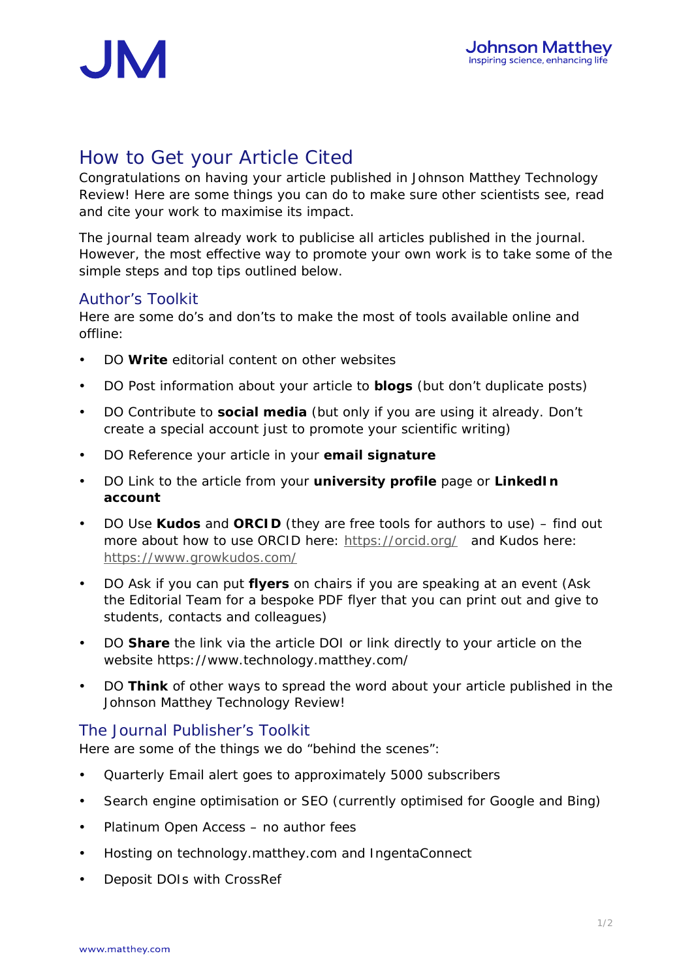

## How to Get your Article Cited

Congratulations on having your article published in *Johnson Matthey Technology Review*! Here are some things you can do to make sure other scientists see, read and cite your work to maximise its impact.

The journal team already work to publicise all articles published in the journal. However, the most effective way to promote your own work is to take some of the simple steps and top tips outlined below.

## Author's Toolkit

Here are some do's and don'ts to make the most of tools available online and offline:

- DO **Write** editorial content on other websites
- DO Post information about your article to **blogs** (but don't duplicate posts)
- DO Contribute to **social media** (but only if you are using it already. Don't create a special account just to promote your scientific writing)
- DO Reference your article in your **email signature**
- DO Link to the article from your **university profile** page or **LinkedIn account**
- DO Use **Kudos** and **ORCID** (they are free tools for authors to use) find out more about how to use ORCID here: https://orcid.org/ and Kudos here: https://www.growkudos.com/
- DO Ask if you can put **flyers** on chairs if you are speaking at an event (Ask the Editorial Team for a bespoke PDF flyer that you can print out and give to students, contacts and colleagues)
- DO **Share** the link *via* the article DOI or link directly to your article on the website https://www.technology.matthey.com/
- DO **Think** of other ways to spread the word about your article published in the Johnson Matthey Technology Review!

## The Journal Publisher's Toolkit

Here are some of the things we do "behind the scenes":

- Quarterly Email alert goes to approximately 5000 subscribers
- Search engine optimisation or SEO (currently optimised for Google and Bing)
- Platinum Open Access no author fees
- Hosting on technology.matthey.com and IngentaConnect
- Deposit DOIs with CrossRef